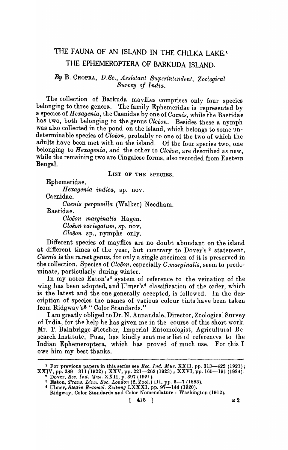# THE FAUNA OF AN ISLAND IN THE CHILKA LAKE.<sup>1</sup> THE EPHEMEROPTERA OF BARKUDA ISLAND.

### By B. CHOPRA, D.Sc., Assistant Superintendent, Zoological *Survey of India.*

The collection of Barkuda mayflies comprises only four species belonging to three genera. The family Ephemeridae is represented by a species of *Hexagenia,* the Caenidae by one of *Caenis,* while the Baetidae has two, both belonging to the genus *Cleëon*. Besides these a nymph was also collected in the pond on the island, which belongs to some undeterminable species of *Oloeon,* probably to one of the two of which the adults have been met with on the island. Of the four species two, one belonging to *Hexagenia,* and the other to *Olceon,* are described as new, while the remaining two are Cingalese forms, also recorded from Eastern Bengal.

LIST OF THE SPECIES.

Ephemeridae.

*H exagenia indica,* sp. nov.

Caenidae.

*Oaenis pefpusilla* (Walker) Needham.

Baetidae.

*Gloeon marginalis* Hagen. *Gloeon variegatum,* sp. nov. *Gloeon* sp., nymphs only.

Different species of mayflies are no doubt abundant on the island at different times of the year, but contrary to Dover's 2 statement, *Oaenis* is the rarest genus, for only a single specimen of it is preserved in the collection. Species of *Cloen,* especially *C.marginalis*, seem to predcminate, particularly during winter.

In my notes Eaton's<sup>3</sup> system of reference to the veination of the wing has been adopted, and Ulmer's<sup>4</sup> classification of the order, which is the latest and the one generally accepted, is followed. In the description of species the names of various colour tints have been taken from Ridgway's5 " Color Rtandards."

I am greatly obliged to Dr. N. Annandale, Director, Zoological Survey of India, for the help he has given me in the course of this short work . Mr. T. Bainbrigge Fletcher, Imperial Entomologist, Agricultural Research Institute, Pusa, has kindly sent me a list of references to the Indian Ephemeroptera, which has proved of much use. For this I owe him my best thanks.

<sup>&</sup>lt;sup>1</sup> For previous papers in this series see *Rec. Ind. Mus.* XXII, pp. 313-422 (1921);  ${\bf XXIV}$ , pp. 289—311 (1922) ; XXV, pp. 221—263 (1923) ; XXVI, pp. 165—191 (1924).

<sup>&</sup>lt;sup>2</sup> Dover, *Rec. Ind. Mus. XXII*, p. 397 (1921).<br><sup>3</sup> Eaton, *Trans. Linn. Soc. London* (2, Zool.) III, pp. 5–7 (1883). & Ulmer, *Stettin Entomol. Zeitung* LXXXI, pp. 97-144 (1920).

Ridgway, Color Standards and Color Nomenclature: \Vashington (1912).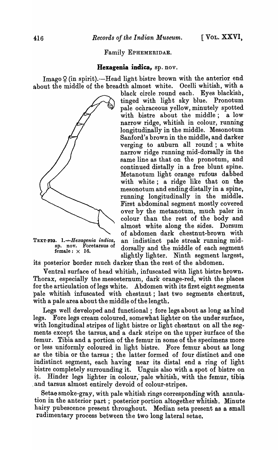Family EPHEMERIDAE.

#### Hexagenia indica, sp. nov.

Imago  $\varphi$  (in spirit).-Head light bistre brown with the anterior end about the middle of the breadth almost white. Ocelli whitish, with a



black circle. round each. Eyes blackish, tinged with light sky blue. Pronotum pale ochraceous yellow, minutely spotted with bistre about the middle; a low narrow ridge, whitish in colour, running longitudinally in the middle. Mesonotum Sanford's brown in the middle, and darker verging to auburn all round; a white narrow ridge running mid-dorsally in the same line as that on the pronotum, and continued distally in a free blunt spine. Metanotum light orange rufous dabbed with white; a ridge like that on the mesonotum and ending distally in a spine, running longitudinally in the middle. First abdominal segment mostly covered over by the metanotum, much paler in colour than the rest of the body and almost white along the sides. Dorsum of abdomen dark chestnut-brown with TEXT-FIG. 1. + Hexagenia indica, an indistinct pale streak running mid-<br>sp. nov. Foretarsus of dorsally and the middle of each segment<br>female:  $\times$  16. dorsally and the middle of each segment<br>slightly lighter. Ninth segment largest,

its posterior border much darker than the rest of the abdomen.

Ventral surface of head whitish, infuscated with light bistre brown. Thorax, especially the mesosternum, dark orange-red, with the places for the articulation of legs white. Abdomen with its first eight segments pale whitish infuscated with chestnut ; last two segments chestnut, with a pale area about the middle of the length.

Legs well developed and functional; fore legs about as long as hind legs. Fore legs cream coloured, somewhat lighter on the under surface, with longitudinal stripes of light bistre or light chestnut on all the segments except the tarsus, and a dark stripe on the upper surface of the femur. Tibia and a portion of the femur in some of the specimens more or less uniformly coloured in light bistre. Fore femur about as long as the tibia or the tarsus; the latter formed of four distinct and one indistinct segment, each having near its distal end a ring of light bistre completely surrounding it. Unguis also with a spot of bistre on it. Hinder legs lighter in colour, pale whitish, with the femur, tibia . and tarsus almost entirely devoid of colour-stripes.

Setae smoke-gray, with pale whitish rings corresponding with annulation in the anterior part; posterior portion altogether whitish. Minute hairy pubescence present throughout. Median seta present as a small rudimentary process between the two long lateral setae.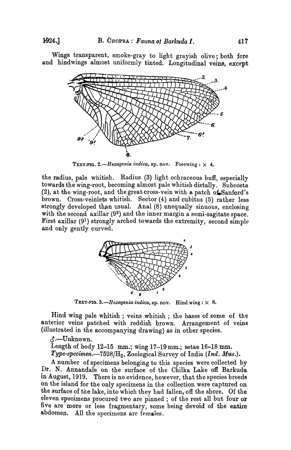Wings transparent, smoke-gray to light grayish olive; both fore and hindwings almost uniformly tinted. Longitudinal veins, except



TEXT-FIG. 2.-Hexagenia indica, sp. nov. Forewing:  $\times$  4.

the radius, pale whitish. Radius (3) light ochraceous buH, especially towards the wing-root, becoming almost pale whitish distally. Subcosta (2), at the wing-root, and the great cross-vein with a patch of Sanford's brown. Cross-veinlets whitish. Sector (4) and cubitus (5) rather less strongly developed than usual. Anal (8) unequally sinuous, enclosing with the second axillar  $(9^2)$  and the inner margin a semi-sagitate space. First axillar (91) strongly arched towards the extremity, second simple and only gently curved.



TEXT-FIG.  $3.$ *-Hexagenia indica*, sp. nov. Hind wing:  $\times$  8.

Hind wing pale whitish; veins whitish; the bases of some of the anterior veins patched with reddish brown. Arrangement of veins (illustrated in the accompanying drawing) as in other species.

~.-Unknown.

Length of body 12-15 mm.; wing 17-19mm.; setae 16-18 mm.

*Type-specimen.-7528/H*2, Zoological Survey of India *(Ind. Mus.).* 

A number of specimens belonging to this species were collected by Dr. N. Annandale on the surface of the Chilka Lake off Barkuda in August, 1919. There is no evidence, however, that the species breeds on the island for the only specimens in the collection were captured on the surface of the lake, into which they had fallen, off the shore. Of the eleven specimens procured two are pinned; of the rest all but four or five are more or less fragmentary, some being devoid of the entire abdomen. All the specimens are females.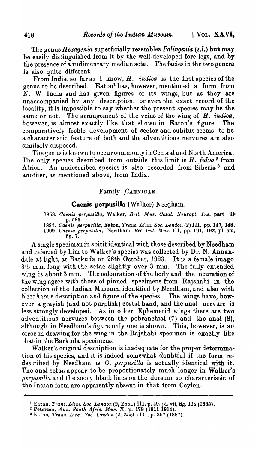The genus *Hexagenia* superficially resembles *Palingenia (s.l.)* but may be easily distinguished from it by the well-developed fore legs, and by the presence of a rudimentary median seta. The facies in the two genera is also quite different.

From India, so far as I know, *H. indica* is the first species of the genus to be described. Eaton! has, however, mentioned a form from N. W India and has given figures of its wings, but as they are unaccompanied by any description, or even the exact record of the locality, it is impossible to say whether the present species may be the same or not. The arrangement of the veins of the wing of  $H$ . *indica*, however, is almost exactly like that shown in Eaton's figure. The comparatively feeble development of sector and cubitus seems to be a characteristic feature of both and the adventitious nervures are also similarly disposed.

The genus is known to occur com monly in Central and North America. 'fhe only species described from outside this limit is *H. fulva* 2 from Africa. An undescribed species is also recorded from Siberia<sup>3</sup> and another, as mentioned above, from India.

#### Family .CAENIDAE.

#### Caenis perpusilla (Walker) Neegham.

- 1853. Caenis perpusilla, Walker, *Brit. Mus. Catal. Neuropt. Ins.* part iii<sup>,</sup> p.585.
- *1884 .. Gaenis perpusilla,* Eaton, *Trans. Linn. Soc. London* (2) III, pp. 147, 148. *1909 Oaenis perpusilla,* Needham, *Rec.Ind. ltl·us.* III, pp. 191, 192, pI. xx, fig. 7.

A single specimen in spirit identical with those described by Needham and referred by him to Walker's species was collected by Dr. N. Annandale at light, at Barkuda on 26th October, 1923. It is a female imago 3.5 mm. long with the setae slightly over 3 mm. The fully extended wing is about 3 mm. The oolouration of the body and the neuration of the wing agree with those of pinned specimens from Rajshahi in the collection of the Indian Museum, identified by Needham, and also with Needham's description and figure of the species. The wings have, however, a grayish (and not purplish) costal band, and the anal nervure is less strongly developed. As in other Ephemerid wings there are two adventitious nervures between the pobranchial (7) and the anal (8), although in Needham's figure only one is shown. This, however, is an error in drawing for the wing in the Rajshahi specimen is exactly like that in the Barkuda specimens.

Walker's original description is inadequate for the proper determination of his species, and it is indeed somewhat doubtful if the form redescribed by Needham as O. *perpusilla* is actually identical with it. The anal setae appear to be proportionately much longer in Walker's *perpusilla* and the sooty black lines on the dorsum so characteristic of the Indian form are apparently absent in that from Ceylon.

<sup>2</sup> Petersen, Ann. South Afric. Mus. X, p. 179 (1911-1914).

<sup>1</sup> Eaton, *Trans. Linn. Soc. London* (2, Zool.) III, p. 49, pl. vii, fig. lla (1883).

<sup>&</sup>lt;sup>8</sup> Eaton, *Trans. Linn. Soc. London* (2, Zool.) III, p. 307 (1887).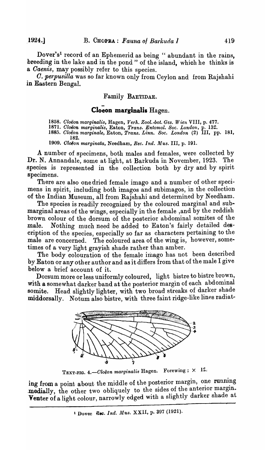Dover's<sup>1</sup> record of an Ephemerid as being " abundant in the rains, breeding in the lake and in the pond" of the island, which he thinks is a *Oaenis,* may possibly refer to this species. '

*O. perpusilla* was so far known only from Ceylon and from Rajshahi in Eastern Bengal.

#### Family BAETIDAE.

#### **Cloeon marginalis Hagen.**

*1858. Cloeon marginalis,* Hagen, *Verk. Zool.-bot. Ges. IVien* VIII, p. 477.

*1871. Cloeon marginalis,* Eaton, *Trans. Entomol. Soc. London,* p. 132.

*1885. Cloeon marginale,* Eaton, *Trans. Linn. Soc. London* (2) III, pp. 181, 182.

1909. *Cloëon marginata*, Needham, *Rec. Ind. Mus.* III, p. 191.

A number of specimens, both males and females, were collected by Dr. N. Annandale, some at light, at Barkuda in November, 1923. The species is represented in the collection both by dry and by spirit specimens.

There are also one dried female imago and a number of other specimens in spirit, including both imagos and subimagos, in the collection of the Indian Museum, all from Rajshahi and determined by Needham.

The species is readily recognized by the coloured marginal and submarginal areas of the wings, especially in the female ,and by the reddish brown colour of the dorsum of the posterior abdominal somites of the male. Nothing much need be added to Eaton's fairly detailed description of the species, especially so far as characters pertaining to the male are concerned. The coloured area of the wing is, however, sometimes of a very light grayish shade rather than amber.

The body colouration of the female imago has not been described by Eaton or any other author and as it differs from that of the male I give below a brief account of it.

Dorsum more or less uniformly coloured, light bistre to bistre brown, with a somewhat darker band at the posterior margin of each abdominal somite. Head slightly lighter, with two broad streaks of darker shade middorsally. Notum also bistre, with three faint ridge-like lines radiat-



TEXT-FIG.  $4. - Clo\ddot{e}$ on marginalis Hagen. Forewing;  $\times$  12.

ing from a point about the middle of the posterior margin, one running medially, the other two obliquely to the sides of the anterior margin. Venter of a light colour, narrowly edged with a slightly darker shade at

<sup>&</sup>lt;sup>1</sup> Dover Rec. Ind. Mus. XXII, p. 397 (1921).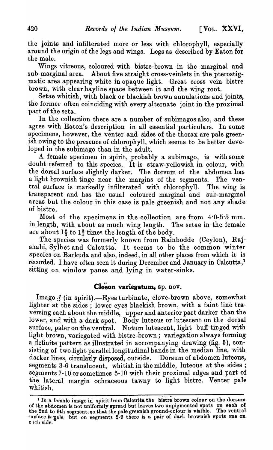the joints and infilterated more or less with chlorophyll, especially around the origin of the legs and wings. Legs as described by Eaton for the male.

Wings vitreous, coloured with bistre-brown in the marginal and sub-marginal area. About five straight cross-veinlets in the pterostigmatic area appearing white in opaque light. Great cross vein bistre brown, with clear hayline space between it and the wing root.

Setae whitish, with black or blackish brown annulations and joints, the former often coinciding with every alternate joint in the proximal part of the seta.

In the collection there are a number of subimagos also, and these agree with Eaton's description in all essential particulars. In some specimens, however, the venter and sides of the thorax are pale greenish owing to the presence of chlorophyll, which seems to be better developed in the subimago than in the adult.

A female specimen in spirit, probably a subimago, is with some doubt referred to this species. It is straw-yellowish in colour, with the dorsal surface slightly darker. The dorsum of the abdomen has a light brownish tinge near the margins of the segments. The ventral surface is markedly infilterated with chlorophyll. The wing is transparent and has the usual coloured marginal and sub-marginal areas but the colour in this case is pale greenish and not any shade of bistre.

Most of the specimens in the collection are from  $4.0-5.5$  mm.<br>ength, with about as much wing length. The setae in the female in length, with about as much wing length. are about  $1\frac{2}{3}$  to  $1\frac{3}{4}$  times the length of the body.

The species was formerly known from Rainbodde (Ceylon), Rajshahi, Sylhet and Calcutta. It seems to be the common winter species on Barkuda and also, indeed, in all other places from which it is recorded. I have often seen it during December and January in Calcutta,<sup>1</sup> sitting on window panes and lying in water-sinks.

## Cloeon variegatum, sp. nov.

Imago  $\delta$  (in spirit).-Eyes turbinate, clove-brown above, somewhat lighter at the sides; lower eyes blackish brown, with a faint line traversing each about the middle, 'upper and anterior part darker than the lower, and with a dark spot. Body luteous or lutescent on the dorsal surface, paler on the ventral. Notum lutescent, light buff tinged with light brown, variegated with bistre-brown; variegation always forming a definite pattern as illustrated in accompanying drawing (fig. 6), consisting of two light parallel longitudinal bands in the median line, with darker lines, circularly disposed, outside. Dorsum of abdomen luteous, segments 3-6 translucent, whitish in the middle, luteous at the sides; segments 7-10 or sometimes 5-10 with their proximal edges and part of the lateral margin ochraceous tawny to light bistre. Venter pale whitish.

<sup>&</sup>lt;sup>1</sup> In a female imago in spirit from Calcutta the bistre brown colour on the dorsum of the abdomen is not uniformly spread but leaves two unpigmented spots on each of the 2nd to 9th segment, so that the pale greenish ground-colour is visible. The ventral urface is pale. but on segments 2-9 there is a pair of dark brownish spots one on e teh side.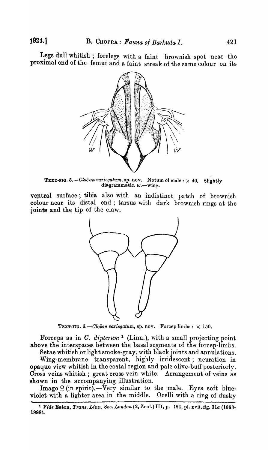Legs dull whitish; forelegs with a faint brownish spot near the proximal end of the femur and a faint streak of the same colour on its



**TEXT-FIG.** 5. - Cloë on variegatum, sp. nov. Notum of male:  $\times$  40. Slightly diagrammatic.  $w$ -wing.

ventral surface; tibia also with an indistinct patch of brownish colour near its distal end; tarsus with dark brownish rings at the joints and the tip of the claw.



TEXT-FIG.  $6. - Clo\ddot{\epsilon}$  *on variegatum*, sp. nov. Forcep limbs:  $\times 150$ .

Forceps as in *O. dipterum* 1 (Linn.), with a small projecting point above the interspaces between the basal segments of the forcep-limbs.

Setae whitish or light smoke-gray, with black joints and annulations. Wing-membrane transparent, highly irridescent; neuration in opaque view whitish in the costal region and pale olive-buff posteriorly. Cross veins whitish; great cross vein white. Arrangement of veins as shown in the accompanying illustration.

 $\text{Image } Q \text{ (in spirit)}$ . - Very similar to the male. Eyes soft blueviolet with a lighter area in the middle. Ocelli with a ring of dusky

<sup>&</sup>lt;sup>1</sup> Vide Eaton, *Trans. Linn. Soc. London* (2, Zool.) III, p. 184, pl. xvii, fig. 31a (1883-1888).